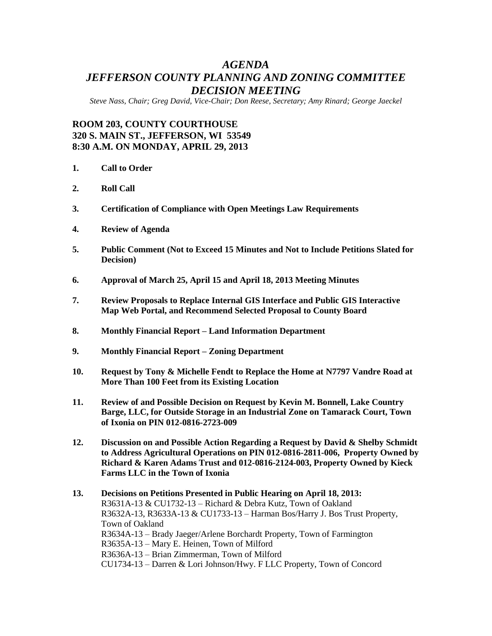# *AGENDA JEFFERSON COUNTY PLANNING AND ZONING COMMITTEE DECISION MEETING*

*Steve Nass, Chair; Greg David, Vice-Chair; Don Reese, Secretary; Amy Rinard; George Jaeckel*

## **ROOM 203, COUNTY COURTHOUSE 320 S. MAIN ST., JEFFERSON, WI 53549 8:30 A.M. ON MONDAY, APRIL 29, 2013**

- **1. Call to Order**
- **2. Roll Call**
- **3. Certification of Compliance with Open Meetings Law Requirements**
- **4. Review of Agenda**
- **5. Public Comment (Not to Exceed 15 Minutes and Not to Include Petitions Slated for Decision)**
- **6. Approval of March 25, April 15 and April 18, 2013 Meeting Minutes**
- **7. Review Proposals to Replace Internal GIS Interface and Public GIS Interactive Map Web Portal, and Recommend Selected Proposal to County Board**
- **8. Monthly Financial Report – Land Information Department**
- **9. Monthly Financial Report – Zoning Department**
- **10. Request by Tony & Michelle Fendt to Replace the Home at N7797 Vandre Road at More Than 100 Feet from its Existing Location**
- **11. Review of and Possible Decision on Request by Kevin M. Bonnell, Lake Country Barge, LLC, for Outside Storage in an Industrial Zone on Tamarack Court, Town of Ixonia on PIN 012-0816-2723-009**
- **12. Discussion on and Possible Action Regarding a Request by David & Shelby Schmidt to Address Agricultural Operations on PIN 012-0816-2811-006, Property Owned by Richard & Karen Adams Trust and 012-0816-2124-003, Property Owned by Kieck Farms LLC in the Town of Ixonia**

### **13. Decisions on Petitions Presented in Public Hearing on April 18, 2013:** R3631A-13 & CU1732-13 – Richard & Debra Kutz, Town of Oakland R3632A-13, R3633A-13 & CU1733-13 – Harman Bos/Harry J. Bos Trust Property, Town of Oakland R3634A-13 – Brady Jaeger/Arlene Borchardt Property, Town of Farmington R3635A-13 – Mary E. Heinen, Town of Milford R3636A-13 – Brian Zimmerman, Town of Milford CU1734-13 – Darren & Lori Johnson/Hwy. F LLC Property, Town of Concord